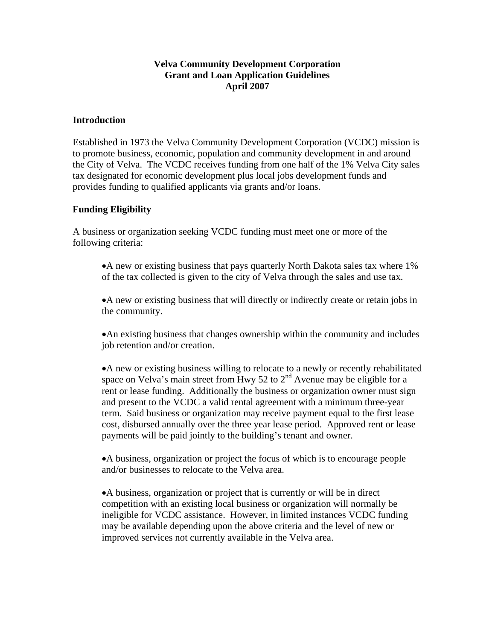### **Velva Community Development Corporation Grant and Loan Application Guidelines April 2007**

#### **Introduction**

Established in 1973 the Velva Community Development Corporation (VCDC) mission is to promote business, economic, population and community development in and around the City of Velva. The VCDC receives funding from one half of the 1% Velva City sales tax designated for economic development plus local jobs development funds and provides funding to qualified applicants via grants and/or loans.

#### **Funding Eligibility**

A business or organization seeking VCDC funding must meet one or more of the following criteria:

•A new or existing business that pays quarterly North Dakota sales tax where 1% of the tax collected is given to the city of Velva through the sales and use tax.

•A new or existing business that will directly or indirectly create or retain jobs in the community.

•An existing business that changes ownership within the community and includes job retention and/or creation.

•A new or existing business willing to relocate to a newly or recently rehabilitated space on Velva's main street from Hwy 52 to 2<sup>nd</sup> Avenue may be eligible for a rent or lease funding. Additionally the business or organization owner must sign and present to the VCDC a valid rental agreement with a minimum three-year term. Said business or organization may receive payment equal to the first lease cost, disbursed annually over the three year lease period. Approved rent or lease payments will be paid jointly to the building's tenant and owner.

•A business, organization or project the focus of which is to encourage people and/or businesses to relocate to the Velva area.

•A business, organization or project that is currently or will be in direct competition with an existing local business or organization will normally be ineligible for VCDC assistance. However, in limited instances VCDC funding may be available depending upon the above criteria and the level of new or improved services not currently available in the Velva area.